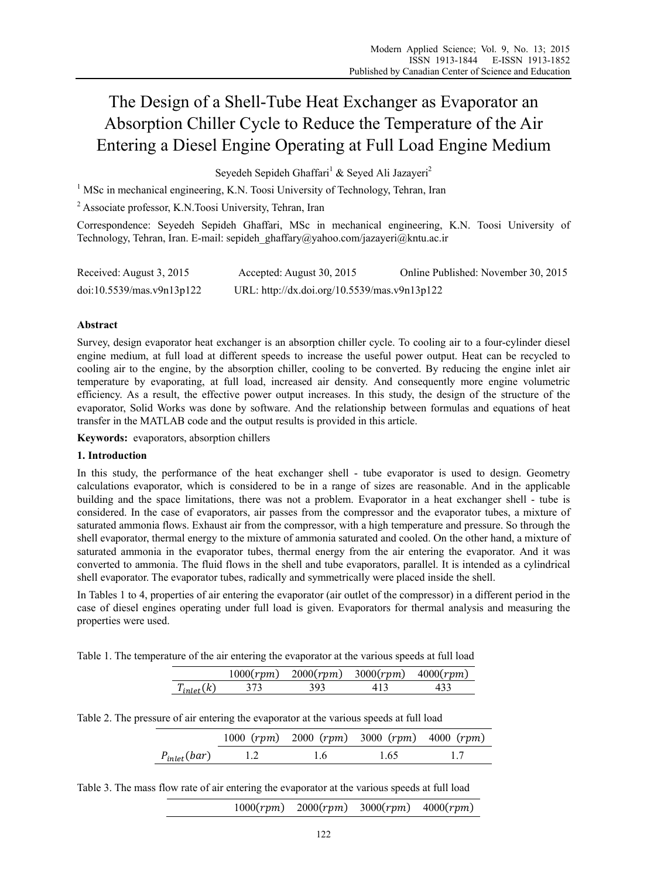# The Design of a Shell-Tube Heat Exchanger as Evaporator an Absorption Chiller Cycle to Reduce the Temperature of the Air Entering a Diesel Engine Operating at Full Load Engine Medium

Seyedeh Sepideh Ghaffari<sup>1</sup> & Seyed Ali Jazayeri<sup>2</sup>

<sup>1</sup> MSc in mechanical engineering, K.N. Toosi University of Technology, Tehran, Iran

<sup>2</sup> Associate professor, K.N.Toosi University, Tehran, Iran

Correspondence: Seyedeh Sepideh Ghaffari, MSc in mechanical engineering, K.N. Toosi University of Technology, Tehran, Iran. E-mail: sepideh\_ghaffary@yahoo.com/jazayeri@kntu.ac.ir

| Received: August 3, 2015  | Accepted: August 30, 2015                    | Online Published: November 30, 2015 |
|---------------------------|----------------------------------------------|-------------------------------------|
| doi:10.5539/mas.v9n13p122 | URL: http://dx.doi.org/10.5539/mas.v9n13p122 |                                     |

## **Abstract**

Survey, design evaporator heat exchanger is an absorption chiller cycle. To cooling air to a four-cylinder diesel engine medium, at full load at different speeds to increase the useful power output. Heat can be recycled to cooling air to the engine, by the absorption chiller, cooling to be converted. By reducing the engine inlet air temperature by evaporating, at full load, increased air density. And consequently more engine volumetric efficiency. As a result, the effective power output increases. In this study, the design of the structure of the evaporator, Solid Works was done by software. And the relationship between formulas and equations of heat transfer in the MATLAB code and the output results is provided in this article.

**Keywords:** evaporators, absorption chillers

#### **1. Introduction**

In this study, the performance of the heat exchanger shell - tube evaporator is used to design. Geometry calculations evaporator, which is considered to be in a range of sizes are reasonable. And in the applicable building and the space limitations, there was not a problem. Evaporator in a heat exchanger shell - tube is considered. In the case of evaporators, air passes from the compressor and the evaporator tubes, a mixture of saturated ammonia flows. Exhaust air from the compressor, with a high temperature and pressure. So through the shell evaporator, thermal energy to the mixture of ammonia saturated and cooled. On the other hand, a mixture of saturated ammonia in the evaporator tubes, thermal energy from the air entering the evaporator. And it was converted to ammonia. The fluid flows in the shell and tube evaporators, parallel. It is intended as a cylindrical shell evaporator. The evaporator tubes, radically and symmetrically were placed inside the shell.

In Tables 1 to 4, properties of air entering the evaporator (air outlet of the compressor) in a different period in the case of diesel engines operating under full load is given. Evaporators for thermal analysis and measuring the properties were used.

Table 1. The temperature of the air entering the evaporator at the various speeds at full load

|                     | 1000 (rpm) | 2000 (rpm) | $3000(rpm)$ $4000(rpm)$ |  |
|---------------------|------------|------------|-------------------------|--|
| $T_{\cdot}$ , $(k)$ |            | 202        |                         |  |

|  |  | Table 2. The pressure of air entering the evaporator at the various speeds at full load |
|--|--|-----------------------------------------------------------------------------------------|
|  |  |                                                                                         |

|                  |     | 1000 $(rpm)$ 2000 $(rpm)$ 3000 $(rpm)$ 4000 $(rpm)$ |  |
|------------------|-----|-----------------------------------------------------|--|
| $P_{inlet}(bar)$ | 1.6 | 1.65                                                |  |

| Table 3. The mass flow rate of air entering the evaporator at the various speeds at full load |  |  |  |
|-----------------------------------------------------------------------------------------------|--|--|--|
|                                                                                               |  |  |  |

 $(1000 (rpm) 2000 (rpm) 3000 (rpm) 4000 (rpm)$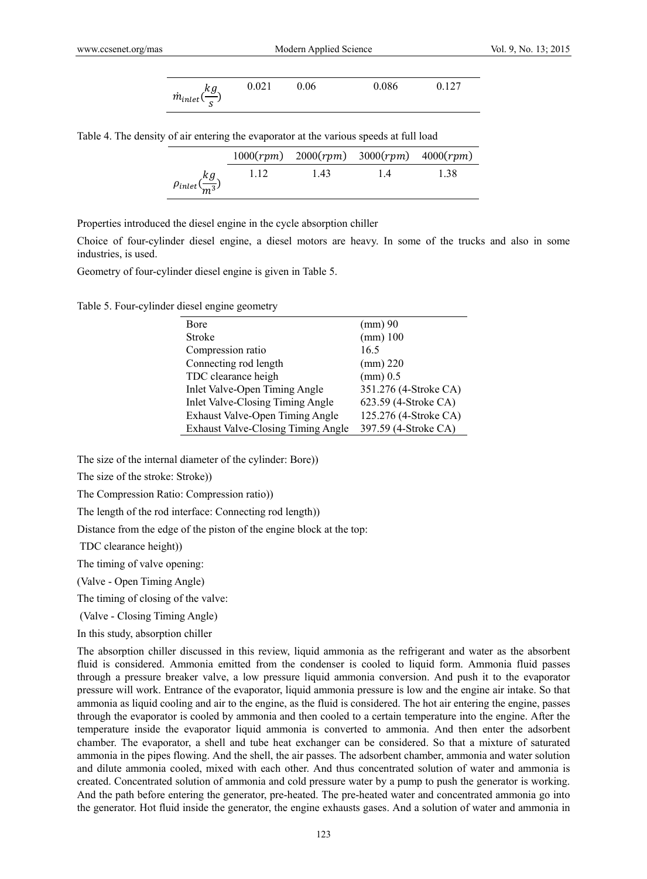$$
\dot{m}_{inlet}(\frac{kg}{s}) \qquad 0.021 \qquad 0.06 \qquad 0.086 \qquad 0.127
$$

Table 4. The density of air entering the evaporator at the various speeds at full load

|                                |      | $1000(rpm)$ $2000(rpm)$ $3000(rpm)$ $4000(rpm)$ |     |      |
|--------------------------------|------|-------------------------------------------------|-----|------|
| $\rho_{inlet}(\frac{kg}{m^3})$ | 1.12 | 1.43                                            | 1.4 | 1.38 |

Properties introduced the diesel engine in the cycle absorption chiller

Choice of four-cylinder diesel engine, a diesel motors are heavy. In some of the trucks and also in some industries, is used.

Geometry of four-cylinder diesel engine is given in Table 5.

Table 5. Four-cylinder diesel engine geometry

| Bore                               | $\pmod{90}$           |  |
|------------------------------------|-----------------------|--|
| Stroke                             | $(mm)$ 100            |  |
| Compression ratio                  | 16.5                  |  |
| Connecting rod length              | $\pmod{220}$          |  |
| TDC clearance heigh                | $\pmod{0.5}$          |  |
| Inlet Valve-Open Timing Angle      | 351.276 (4-Stroke CA) |  |
| Inlet Valve-Closing Timing Angle   | 623.59 (4-Stroke CA)  |  |
| Exhaust Valve-Open Timing Angle    | 125.276 (4-Stroke CA) |  |
| Exhaust Valve-Closing Timing Angle | 397.59 (4-Stroke CA)  |  |

The size of the internal diameter of the cylinder: Bore))

The size of the stroke: Stroke))

The Compression Ratio: Compression ratio))

The length of the rod interface: Connecting rod length))

Distance from the edge of the piston of the engine block at the top:

TDC clearance height))

The timing of valve opening:

(Valve - Open Timing Angle)

The timing of closing of the valve:

(Valve - Closing Timing Angle)

In this study, absorption chiller

The absorption chiller discussed in this review, liquid ammonia as the refrigerant and water as the absorbent fluid is considered. Ammonia emitted from the condenser is cooled to liquid form. Ammonia fluid passes through a pressure breaker valve, a low pressure liquid ammonia conversion. And push it to the evaporator pressure will work. Entrance of the evaporator, liquid ammonia pressure is low and the engine air intake. So that ammonia as liquid cooling and air to the engine, as the fluid is considered. The hot air entering the engine, passes through the evaporator is cooled by ammonia and then cooled to a certain temperature into the engine. After the temperature inside the evaporator liquid ammonia is converted to ammonia. And then enter the adsorbent chamber. The evaporator, a shell and tube heat exchanger can be considered. So that a mixture of saturated ammonia in the pipes flowing. And the shell, the air passes. The adsorbent chamber, ammonia and water solution and dilute ammonia cooled, mixed with each other. And thus concentrated solution of water and ammonia is created. Concentrated solution of ammonia and cold pressure water by a pump to push the generator is working. And the path before entering the generator, pre-heated. The pre-heated water and concentrated ammonia go into the generator. Hot fluid inside the generator, the engine exhausts gases. And a solution of water and ammonia in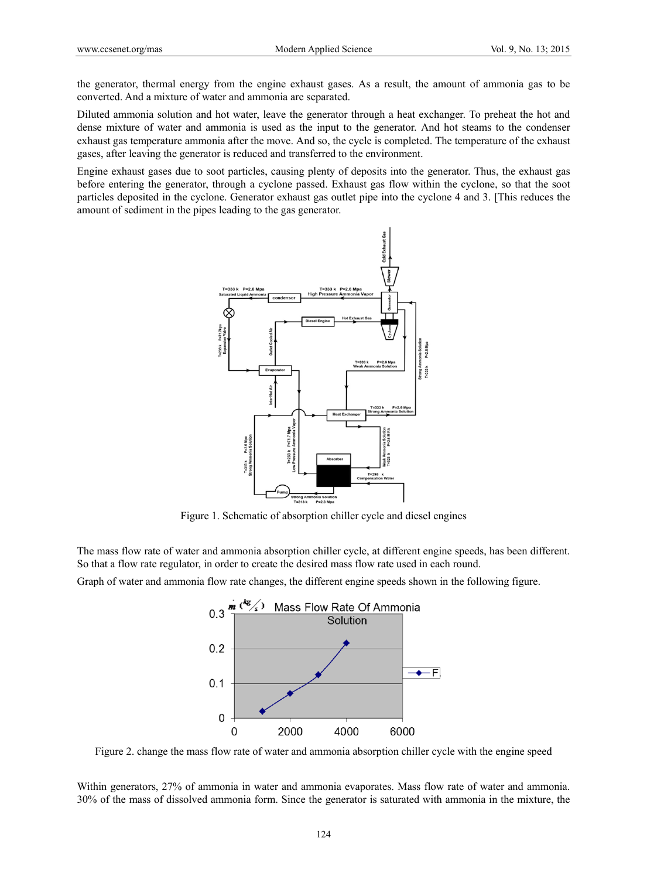the generator, thermal energy from the engine exhaust gases. As a result, the amount of ammonia gas to be converted. And a mixture of water and ammonia are separated.

Diluted ammonia solution and hot water, leave the generator through a heat exchanger. To preheat the hot and dense mixture of water and ammonia is used as the input to the generator. And hot steams to the condenser exhaust gas temperature ammonia after the move. And so, the cycle is completed. The temperature of the exhaust gases, after leaving the generator is reduced and transferred to the environment.

Engine exhaust gases due to soot particles, causing plenty of deposits into the generator. Thus, the exhaust gas before entering the generator, through a cyclone passed. Exhaust gas flow within the cyclone, so that the soot particles deposited in the cyclone. Generator exhaust gas outlet pipe into the cyclone 4 and 3. [This reduces the amount of sediment in the pipes leading to the gas generator.



Figure 1. Schematic of absorption chiller cycle and diesel engines

The mass flow rate of water and ammonia absorption chiller cycle, at different engine speeds, has been different. So that a flow rate regulator, in order to create the desired mass flow rate used in each round.

Graph of water and ammonia flow rate changes, the different engine speeds shown in the following figure.



Figure 2. change the mass flow rate of water and ammonia absorption chiller cycle with the engine speed

Within generators, 27% of ammonia in water and ammonia evaporates. Mass flow rate of water and ammonia. 30% of the mass of dissolved ammonia form. Since the generator is saturated with ammonia in the mixture, the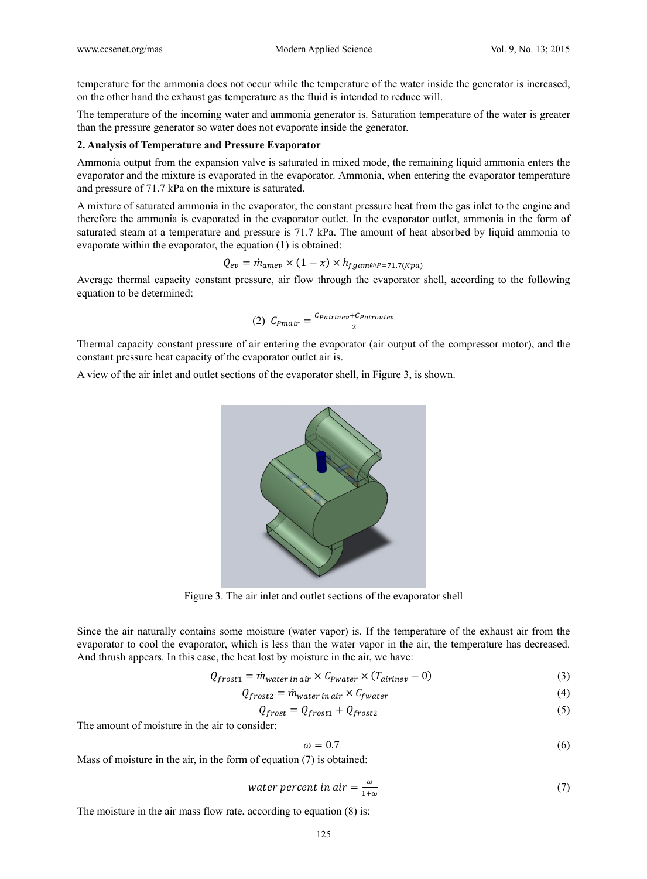temperature for the ammonia does not occur while the temperature of the water inside the generator is increased, on the other hand the exhaust gas temperature as the fluid is intended to reduce will.

The temperature of the incoming water and ammonia generator is. Saturation temperature of the water is greater than the pressure generator so water does not evaporate inside the generator.

#### **2. Analysis of Temperature and Pressure Evaporator**

Ammonia output from the expansion valve is saturated in mixed mode, the remaining liquid ammonia enters the evaporator and the mixture is evaporated in the evaporator. Ammonia, when entering the evaporator temperature and pressure of 71.7 kPa on the mixture is saturated.

A mixture of saturated ammonia in the evaporator, the constant pressure heat from the gas inlet to the engine and therefore the ammonia is evaporated in the evaporator outlet. In the evaporator outlet, ammonia in the form of saturated steam at a temperature and pressure is 71.7 kPa. The amount of heat absorbed by liquid ammonia to evaporate within the evaporator, the equation (1) is obtained:

$$
Q_{ev} = \dot{m}_{amev} \times (1 - x) \times h_{fgam@P=71.7(Kpa)}
$$

Average thermal capacity constant pressure, air flow through the evaporator shell, according to the following equation to be determined:

$$
(2) C_{P\text{mair}} = \frac{c_{P\text{airine}v} + c_{P\text{airoute}v}}{2}
$$

Thermal capacity constant pressure of air entering the evaporator (air output of the compressor motor), and the constant pressure heat capacity of the evaporator outlet air is.

A view of the air inlet and outlet sections of the evaporator shell, in Figure 3, is shown.



Figure 3. The air inlet and outlet sections of the evaporator shell

Since the air naturally contains some moisture (water vapor) is. If the temperature of the exhaust air from the evaporator to cool the evaporator, which is less than the water vapor in the air, the temperature has decreased. And thrush appears. In this case, the heat lost by moisture in the air, we have:

$$
Q_{frost1} = \dot{m}_{water\ in\ air} \times C_{Pwater} \times (T_{airine} - 0)
$$
\n(3)

$$
Q_{frost2} = \dot{m}_{water\ in\ air} \times C_{fwater}
$$
\n(4)

$$
Q_{\text{frost}} = Q_{\text{frost1}} + Q_{\text{frost2}} \tag{5}
$$

The amount of moisture in the air to consider:

$$
\omega = 0.7 \tag{6}
$$

Mass of moisture in the air, in the form of equation (7) is obtained:

water percent in air = 
$$
\frac{\omega}{1+\omega}
$$
 (7)

The moisture in the air mass flow rate, according to equation  $(8)$  is: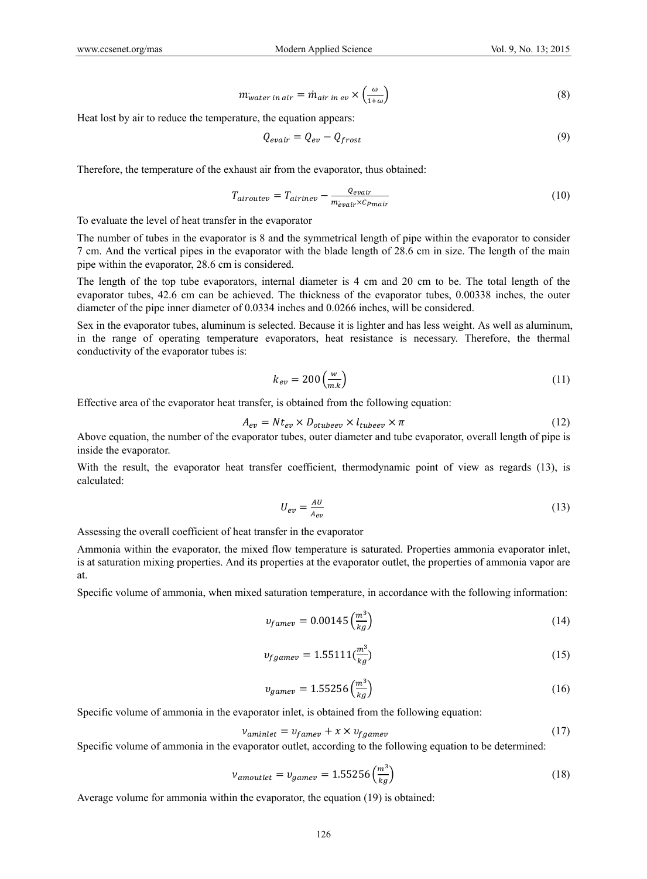$$
m_{water\ in\ air} = \dot{m}_{air\ in\ ev} \times \left(\frac{\omega}{1+\omega}\right) \tag{8}
$$

Heat lost by air to reduce the temperature, the equation appears:

$$
Q_{evair} = Q_{ev} - Q_{frost} \tag{9}
$$

Therefore, the temperature of the exhaust air from the evaporator, thus obtained:

$$
T_{airoutev} = T_{airinev} - \frac{Q_{evair}}{m_{evair} \times C_{Pmair}} \tag{10}
$$

To evaluate the level of heat transfer in the evaporator

The number of tubes in the evaporator is 8 and the symmetrical length of pipe within the evaporator to consider 7 cm. And the vertical pipes in the evaporator with the blade length of 28.6 cm in size. The length of the main pipe within the evaporator, 28.6 cm is considered.

The length of the top tube evaporators, internal diameter is 4 cm and 20 cm to be. The total length of the evaporator tubes, 42.6 cm can be achieved. The thickness of the evaporator tubes, 0.00338 inches, the outer diameter of the pipe inner diameter of 0.0334 inches and 0.0266 inches, will be considered.

Sex in the evaporator tubes, aluminum is selected. Because it is lighter and has less weight. As well as aluminum, in the range of operating temperature evaporators, heat resistance is necessary. Therefore, the thermal conductivity of the evaporator tubes is:

$$
k_{ev} = 200 \left(\frac{w}{m.k}\right) \tag{11}
$$

Effective area of the evaporator heat transfer, is obtained from the following equation:

$$
A_{ev} = Nt_{ev} \times D_{otubeev} \times l_{tubeeev} \times \pi
$$
\n<sup>(12)</sup>

Above equation, the number of the evaporator tubes, outer diameter and tube evaporator, overall length of pipe is inside the evaporator.

With the result, the evaporator heat transfer coefficient, thermodynamic point of view as regards (13), is calculated:

$$
U_{ev} = \frac{AU}{A_{ev}}\tag{13}
$$

Assessing the overall coefficient of heat transfer in the evaporator

Ammonia within the evaporator, the mixed flow temperature is saturated. Properties ammonia evaporator inlet, is at saturation mixing properties. And its properties at the evaporator outlet, the properties of ammonia vapor are at.

Specific volume of ammonia, when mixed saturation temperature, in accordance with the following information:

$$
v_{famev} = 0.00145 \left(\frac{m^3}{kg}\right) \tag{14}
$$

$$
v_{fgamev} = 1.55111 \left(\frac{m^3}{kg}\right) \tag{15}
$$

$$
v_{game} = 1.55256 \left(\frac{m^3}{kg}\right) \tag{16}
$$

Specific volume of ammonia in the evaporator inlet, is obtained from the following equation:

$$
v_{aminlet} = v_{famev} + x \times v_{fgamev}
$$
\n<sup>(17)</sup>

Specific volume of ammonia in the evaporator outlet, according to the following equation to be determined:

$$
\nu_{amountlet} = \nu_{game} = 1.55256 \left(\frac{m^3}{kg}\right) \tag{18}
$$

Average volume for ammonia within the evaporator, the equation (19) is obtained: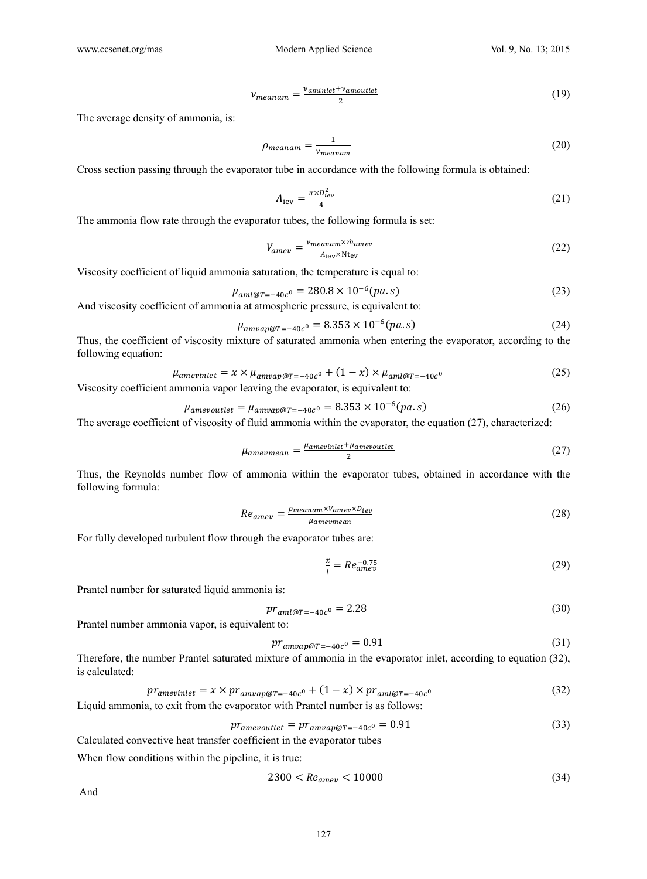$$
v_{meanam} = \frac{v_{aminlet} + v_{amoutlet}}{2}
$$
 (19)

The average density of ammonia, is:

$$
\rho_{meanam} = \frac{1}{v_{meanam}} \tag{20}
$$

Cross section passing through the evaporator tube in accordance with the following formula is obtained:

$$
A_{\rm lev} = \frac{\pi \times D_{\rm lev}^2}{4} \tag{21}
$$

The ammonia flow rate through the evaporator tubes, the following formula is set:

$$
V_{amev} = \frac{v_{meanam} \times \dot{m}_{amev}}{A_{\text{lev}} \times \text{Nt}_{\text{ev}}} \tag{22}
$$

Viscosity coefficient of liquid ammonia saturation, the temperature is equal to:

$$
\mu_{aml@T=-40c^0} = 280.8 \times 10^{-6} (pa.s)
$$
\n(23)

And viscosity coefficient of ammonia at atmospheric pressure, is equivalent to:

$$
\mu_{amvap@T=-40c^0} = 8.353 \times 10^{-6} (pa.s)
$$
\n(24)

Thus, the coefficient of viscosity mixture of saturated ammonia when entering the evaporator, according to the following equation:

$$
\mu_{amevinlet} = x \times \mu_{amvap@T = -40c^0} + (1 - x) \times \mu_{aml@T = -40c^0}
$$
\n(25)

Viscosity coefficient ammonia vapor leaving the evaporator, is equivalent to:

$$
\mu_{amevoutlet} = \mu_{amvap@T = -40c^0} = 8.353 \times 10^{-6} (pa.s)
$$
\n(26)

The average coefficient of viscosity of fluid ammonia within the evaporator, the equation (27), characterized:

$$
\mu_{amevmean} = \frac{\mu_{amevinlet} + \mu_{amevoutlet}}{2}
$$
\n(27)

Thus, the Reynolds number flow of ammonia within the evaporator tubes, obtained in accordance with the following formula:

$$
Re_{amev} = \frac{\rho_{meanam} \times V_{amev} \times D_{lev}}{\mu_{amevmean}} \tag{28}
$$

For fully developed turbulent flow through the evaporator tubes are:

$$
\frac{x}{l} = Re_{amev}^{-0.75} \tag{29}
$$

Prantel number for saturated liquid ammonia is:

$$
pr_{aml@T=-40c^0} = 2.28\tag{30}
$$

Prantel number ammonia vapor, is equivalent to:

$$
pr_{amvap@T=-40c^0} = 0.91\tag{31}
$$

Therefore, the number Prantel saturated mixture of ammonia in the evaporator inlet, according to equation (32), is calculated:

$$
pr_{amevinlet} = x \times pr_{amvap@T = -40c^0} + (1 - x) \times pr_{aml@T = -40c^0}
$$
\n
$$
(32)
$$

Liquid ammonia, to exit from the evaporator with Prantel number is as follows:

$$
pr_{amevoutlet} = pr_{amvap@T=-40c^0} = 0.91
$$
\n(33)

Calculated convective heat transfer coefficient in the evaporator tubes

When flow conditions within the pipeline, it is true:

$$
2300 < Re_{amev} < 10000 \tag{34}
$$

And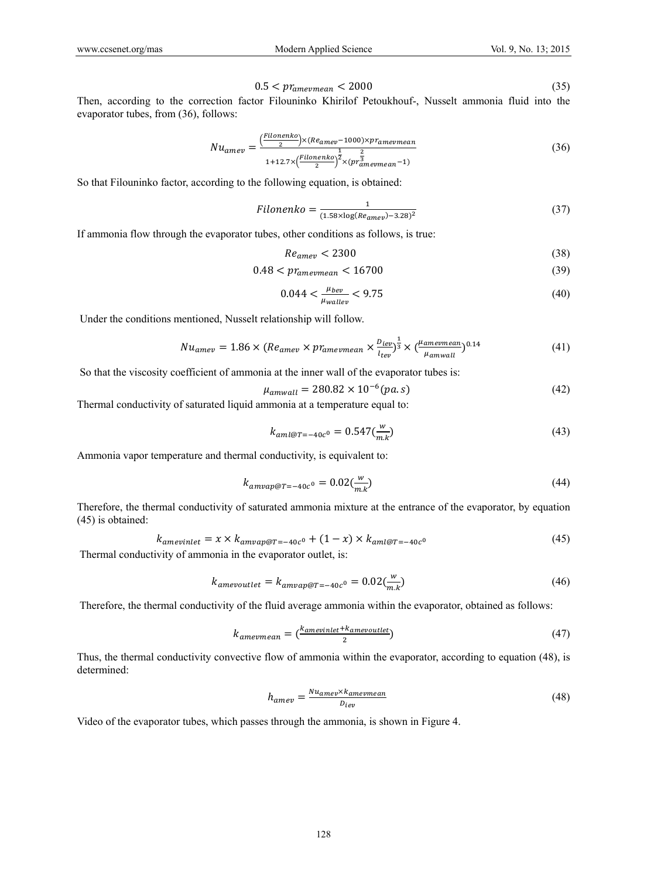$$
0.5 < pr_{amevmean} < 2000 \tag{35}
$$

Then, according to the correction factor Filouninko Khirilof Petoukhouf-, Nusselt ammonia fluid into the evaporator tubes, from (36), follows:

$$
Nu_{amev} = \frac{\left(\frac{Filonenko}{2}\right) \times (Re_{amev} - 1000) \times pr_{amevmean}}{1 + 12.7 \times \left(\frac{Filonenko}{2}\right)^{\frac{1}{2}} \times (pr_{amevmean}^{\frac{2}{3}} - 1)}
$$
(36)

So that Filouninko factor, according to the following equation, is obtained:

$$
Filonenko = \frac{1}{(1.58 \times \log(Re_{amev}) - 3.28)^2}
$$
\n(37)

If ammonia flow through the evaporator tubes, other conditions as follows, is true:

$$
Re_{amev} < 2300 \tag{38}
$$

$$
0.48 < pr_{amevmean} < 16700 \tag{39}
$$

$$
0.044 < \frac{\mu_{bev}}{\mu_{wallev}} < 9.75 \tag{40}
$$

Under the conditions mentioned, Nusselt relationship will follow.

$$
Nu_{amev} = 1.86 \times (Re_{amev} \times pr_{amevmean} \times \frac{p_{iev}}{l_{tev}})^{\frac{1}{3}} \times (\frac{\mu_{amevmean}}{\mu_{amwall}})^{0.14}
$$
(41)

So that the viscosity coefficient of ammonia at the inner wall of the evaporator tubes is:

$$
\mu_{amuall} = 280.82 \times 10^{-6} (pa.s)
$$
\n(42)

Thermal conductivity of saturated liquid ammonia at a temperature equal to:

$$
k_{aml@T=-40c^0} = 0.547 \left(\frac{w}{m.k}\right)
$$
\n(43)

Ammonia vapor temperature and thermal conductivity, is equivalent to:

$$
k_{amvap@T = -40c^0} = 0.02 \left(\frac{w}{m \cdot k}\right) \tag{44}
$$

Therefore, the thermal conductivity of saturated ammonia mixture at the entrance of the evaporator, by equation (45) is obtained:

$$
k_{amevinlet} = x \times k_{amvap@T=-40c^0} + (1-x) \times k_{aml@T=-40c^0}
$$
\n
$$
\tag{45}
$$

Thermal conductivity of ammonia in the evaporator outlet, is:

$$
k_{amevoutlet} = k_{amvap@T = -40c^0} = 0.02 \left(\frac{w}{m} \right)
$$
\n<sup>(46)</sup>

Therefore, the thermal conductivity of the fluid average ammonia within the evaporator, obtained as follows:

$$
k_{amevmean} = \left(\frac{k_{amevinlet} + k_{amevoutlet}}{2}\right)
$$
\n<sup>(47)</sup>

Thus, the thermal conductivity convective flow of ammonia within the evaporator, according to equation (48), is determined:

$$
h_{amev} = \frac{Nu_{amev} \times kamevmean}{v_{lev}} \tag{48}
$$

Video of the evaporator tubes, which passes through the ammonia, is shown in Figure 4.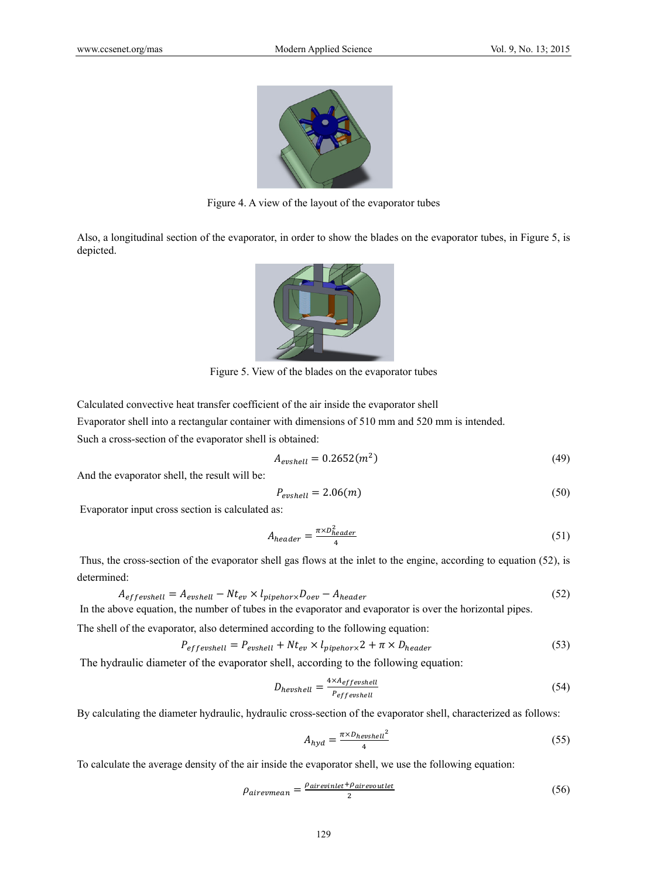

Figure 4. A view of the layout of the evaporator tubes

Also, a longitudinal section of the evaporator, in order to show the blades on the evaporator tubes, in Figure 5, is depicted.



Figure 5. View of the blades on the evaporator tubes

Calculated convective heat transfer coefficient of the air inside the evaporator shell

Evaporator shell into a rectangular container with dimensions of 510 mm and 520 mm is intended.

Such a cross-section of the evaporator shell is obtained:

$$
A_{evshell} = 0.2652(m^2) \tag{49}
$$

And the evaporator shell, the result will be:

$$
P_{evshell} = 2.06(m) \tag{50}
$$

Evaporator input cross section is calculated as:

$$
A_{header} = \frac{\pi \times D_{header}^2}{4} \tag{51}
$$

 Thus, the cross-section of the evaporator shell gas flows at the inlet to the engine, according to equation (52), is determined:

$$
A_{effevshell} = A_{evshell} - Nt_{ev} \times l_{pipehor} D_{oev} - A_{header}
$$
\n(52)

In the above equation, the number of tubes in the evaporator and evaporator is over the horizontal pipes.

The shell of the evaporator, also determined according to the following equation:

$$
P_{eff}\text{evshell} = P_{evshell} + Nt_{ev} \times l_{pipehor} \times 2 + \pi \times D_{header}
$$
\n
$$
\tag{53}
$$

The hydraulic diameter of the evaporator shell, according to the following equation:

$$
D_{hevshell} = \frac{4 \times A_{effevshell}}{P_{effevshell}} \tag{54}
$$

By calculating the diameter hydraulic, hydraulic cross-section of the evaporator shell, characterized as follows:

$$
A_{hyd} = \frac{\pi \times D_{hevshell}^2}{4} \tag{55}
$$

To calculate the average density of the air inside the evaporator shell, we use the following equation:

$$
\rho_{airevmean} = \frac{\rho_{airevinlet} + \rho_{airevoutlet}}{2}
$$
\n(56)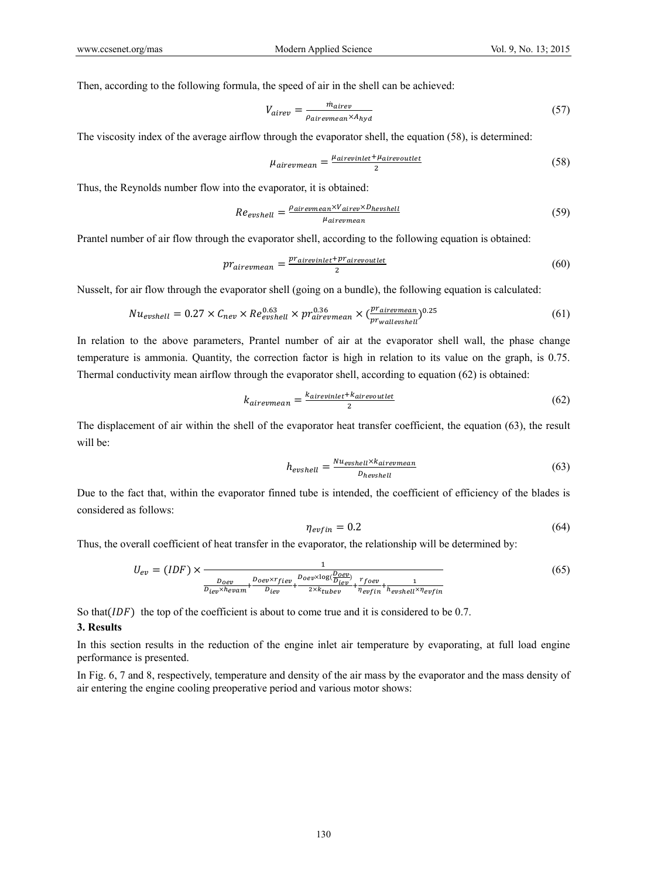Then, according to the following formula, the speed of air in the shell can be achieved:

$$
V_{airev} = \frac{\dot{m}_{airev}}{\rho_{airevmean} \times A_{hyd}}
$$
 (57)

The viscosity index of the average airflow through the evaporator shell, the equation (58), is determined:

$$
\mu_{airevmean} = \frac{\mu_{airevinlet} + \mu_{airevoutlet}}{2}
$$
\n(58)

Thus, the Reynolds number flow into the evaporator, it is obtained:

$$
Re_{evshell} = \frac{\rho_{airewmean} \times V_{airev} \times D_{hevshell}}{\mu_{airewmean}}
$$
(59)

Prantel number of air flow through the evaporator shell, according to the following equation is obtained:

$$
pr_{airevmean} = \frac{pr_{airevinlet} + pr_{airevoutlet}}{2}
$$
 (60)

Nusselt, for air flow through the evaporator shell (going on a bundle), the following equation is calculated:

$$
Nu_{evshell} = 0.27 \times C_{nev} \times Re_{evshell}^{0.63} \times pr_{airevmean}^{0.36} \times (\frac{pr_{airewmean}}{pr_{wallevshell}})^{0.25}
$$
(61)

In relation to the above parameters, Prantel number of air at the evaporator shell wall, the phase change temperature is ammonia. Quantity, the correction factor is high in relation to its value on the graph, is 0.75. Thermal conductivity mean airflow through the evaporator shell, according to equation (62) is obtained:

$$
k_{airevmean} = \frac{k_{airevinlet} + k_{airevoutlet}}{2}
$$
\n(62)

The displacement of air within the shell of the evaporator heat transfer coefficient, the equation (63), the result will be:

$$
h_{evshell} = \frac{Nu_{evshell} \times k_{airewmean}}{p_{hevshell}}
$$
 (63)

Due to the fact that, within the evaporator finned tube is intended, the coefficient of efficiency of the blades is considered as follows:

$$
\eta_{evfin} = 0.2 \tag{64}
$$

Thus, the overall coefficient of heat transfer in the evaporator, the relationship will be determined by:

$$
U_{ev} = (IDF) \times \frac{1}{\frac{D_{oev}}{D_{lev} \times h_{evam}} + \frac{D_{oev} \times r_{fiev}}{D_{lev}} + \frac{D_{oev} \times \log(\frac{D_{oev}}{D_{lev}})}{2 \times k_{tube}} + \frac{r_{foev}}{n_{evfin}} + \frac{1}{n_{evsin} \times n_{evipin}}}
$$
(65)

So that( $IDF$ ) the top of the coefficient is about to come true and it is considered to be 0.7.

#### **3. Results**

In this section results in the reduction of the engine inlet air temperature by evaporating, at full load engine performance is presented.

In Fig. 6, 7 and 8, respectively, temperature and density of the air mass by the evaporator and the mass density of air entering the engine cooling preoperative period and various motor shows: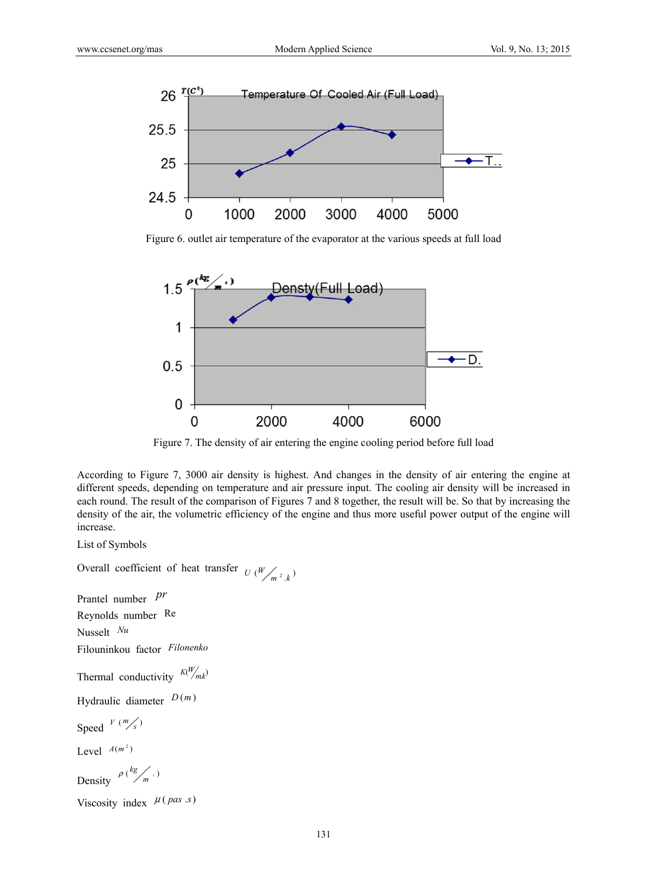

Figure 6. outlet air temperature of the evaporator at the various speeds at full load



Figure 7. The density of air entering the engine cooling period before full load

According to Figure 7, 3000 air density is highest. And changes in the density of air entering the engine at different speeds, depending on temperature and air pressure input. The cooling air density will be increased in each round. The result of the comparison of Figures 7 and 8 together, the result will be. So that by increasing the density of the air, the volumetric efficiency of the engine and thus more useful power output of the engine will increase.

List of Symbols

Overall coefficient of heat transfer  $U(W/m^2, k)$ 

Prantel number *pr*

Reynolds number Re

Nusselt *Nu*

Filouninkou factor *Filonenko*

Thermal conductivity  $\frac{K(W)}{K(W)}$ 

Hydraulic diameter *D* (*m* )

Speed  $V(m/s)$ 

Level  $A(m^2)$ 

Density  $P\left(\frac{kg}{m}\right)^{1/2}$ 

Viscosity index  $\mu(\text{pas } s)$